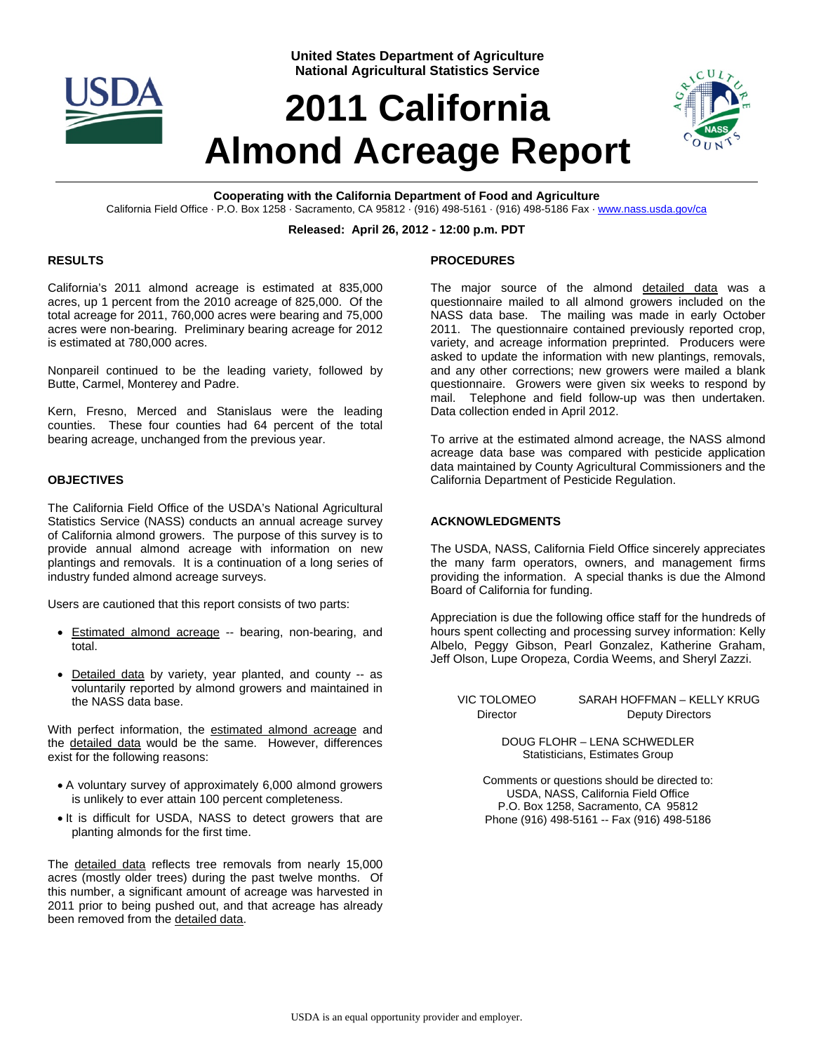

**United States Department of Agriculture National Agricultural Statistics Service**

# **2011 California Almond Acreage Report**



**Cooperating with the California Department of Food and Agriculture**  California Field Office · P.O. Box 1258 · Sacramento, CA 95812 · (916) 498-5161 · (916) 498-5186 Fax · www.nass.usda.gov/ca

## **Released: April 26, 2012 - 12:00 p.m. PDT**

### **RESULTS**

California's 2011 almond acreage is estimated at 835,000 acres, up 1 percent from the 2010 acreage of 825,000. Of the total acreage for 2011, 760,000 acres were bearing and 75,000 acres were non-bearing. Preliminary bearing acreage for 2012 is estimated at 780,000 acres.

Nonpareil continued to be the leading variety, followed by Butte, Carmel, Monterey and Padre.

Kern, Fresno, Merced and Stanislaus were the leading counties. These four counties had 64 percent of the total bearing acreage, unchanged from the previous year.

### **OBJECTIVES**

The California Field Office of the USDA's National Agricultural Statistics Service (NASS) conducts an annual acreage survey of California almond growers. The purpose of this survey is to provide annual almond acreage with information on new plantings and removals. It is a continuation of a long series of industry funded almond acreage surveys.

Users are cautioned that this report consists of two parts:

- **Estimated almond acreage -- bearing, non-bearing, and** total.
- Detailed data by variety, year planted, and county -- as voluntarily reported by almond growers and maintained in the NASS data base.

With perfect information, the estimated almond acreage and the detailed data would be the same. However, differences exist for the following reasons:

- A voluntary survey of approximately 6,000 almond growers is unlikely to ever attain 100 percent completeness.
- $\bullet$  It is difficult for USDA, NASS to detect growers that are planting almonds for the first time.

The detailed data reflects tree removals from nearly 15,000 acres (mostly older trees) during the past twelve months. Of this number, a significant amount of acreage was harvested in 2011 prior to being pushed out, and that acreage has already been removed from the detailed data.

### **PROCEDURES**

The major source of the almond detailed data was a questionnaire mailed to all almond growers included on the NASS data base. The mailing was made in early October 2011. The questionnaire contained previously reported crop, variety, and acreage information preprinted. Producers were asked to update the information with new plantings, removals, and any other corrections; new growers were mailed a blank questionnaire. Growers were given six weeks to respond by mail. Telephone and field follow-up was then undertaken. Data collection ended in April 2012.

To arrive at the estimated almond acreage, the NASS almond acreage data base was compared with pesticide application data maintained by County Agricultural Commissioners and the California Department of Pesticide Regulation.

### **ACKNOWLEDGMENTS**

The USDA, NASS, California Field Office sincerely appreciates the many farm operators, owners, and management firms providing the information. A special thanks is due the Almond Board of California for funding.

Appreciation is due the following office staff for the hundreds of hours spent collecting and processing survey information: Kelly Albelo, Peggy Gibson, Pearl Gonzalez, Katherine Graham, Jeff Olson, Lupe Oropeza, Cordia Weems, and Sheryl Zazzi.

VIC TOLOMEO SARAH HOFFMAN – KELLY KRUG Director Deputy Directors

> DOUG FLOHR – LENA SCHWEDLER Statisticians, Estimates Group

Comments or questions should be directed to: USDA, NASS, California Field Office P.O. Box 1258, Sacramento, CA 95812 Phone (916) 498-5161 -- Fax (916) 498-5186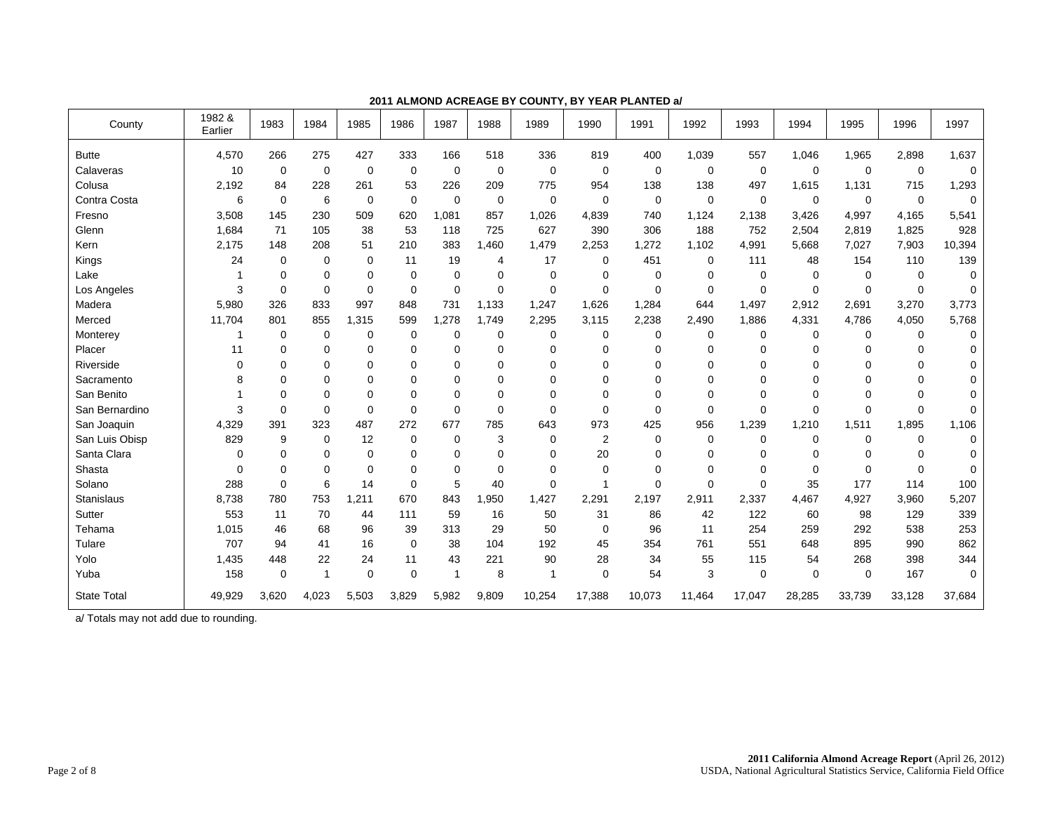| County             | 1982 &<br>Earlier | 1983        | 1984        | 1985        | 1986        | 1987        | 1988           | 1989        | 1990        | 1991         | 1992        | 1993        | 1994        | 1995        | 1996        | 1997     |
|--------------------|-------------------|-------------|-------------|-------------|-------------|-------------|----------------|-------------|-------------|--------------|-------------|-------------|-------------|-------------|-------------|----------|
| <b>Butte</b>       | 4,570             | 266         | 275         | 427         | 333         | 166         | 518            | 336         | 819         | 400          | 1,039       | 557         | 1,046       | 1,965       | 2,898       | 1,637    |
| Calaveras          | 10                | $\mathbf 0$ | 0           | $\mathbf 0$ | 0           | $\Omega$    | $\mathbf 0$    | $\mathbf 0$ | $\mathbf 0$ | 0            | $\mathbf 0$ | $\mathbf 0$ | $\Omega$    | $\mathbf 0$ | $\mathbf 0$ | $\Omega$ |
| Colusa             | 2,192             | 84          | 228         | 261         | 53          | 226         | 209            | 775         | 954         | 138          | 138         | 497         | 1,615       | 1,131       | 715         | 1,293    |
| Contra Costa       | 6                 | $\mathbf 0$ | 6           | $\mathbf 0$ | 0           | $\Omega$    | 0              | $\mathbf 0$ | $\mathbf 0$ | 0            | $\mathbf 0$ | $\mathbf 0$ | 0           | $\mathbf 0$ | $\mathbf 0$ | 0        |
| Fresno             | 3,508             | 145         | 230         | 509         | 620         | 1,081       | 857            | 1,026       | 4,839       | 740          | 1.124       | 2,138       | 3,426       | 4,997       | 4,165       | 5,541    |
| Glenn              | 1,684             | 71          | 105         | 38          | 53          | 118         | 725            | 627         | 390         | 306          | 188         | 752         | 2,504       | 2,819       | 1,825       | 928      |
| Kern               | 2.175             | 148         | 208         | 51          | 210         | 383         | 1.460          | 1,479       | 2,253       | 1,272        | 1,102       | 4,991       | 5,668       | 7,027       | 7,903       | 10,394   |
| Kings              | 24                | 0           | 0           | $\mathbf 0$ | 11          | 19          | $\overline{4}$ | 17          | $\mathbf 0$ | 451          | 0           | 111         | 48          | 154         | 110         | 139      |
| Lake               |                   | $\mathbf 0$ | 0           | 0           | 0           | $\mathbf 0$ | 0              | 0           | 0           | 0            | $\mathbf 0$ | 0           | $\Omega$    | 0           | 0           | 0        |
| Los Angeles        | 3                 | $\Omega$    | $\mathbf 0$ | 0           | $\mathbf 0$ | $\Omega$    | $\mathbf 0$    | $\mathbf 0$ | $\Omega$    | 0            | 0           | $\mathbf 0$ | $\Omega$    | $\mathbf 0$ | 0           | $\Omega$ |
| Madera             | 5,980             | 326         | 833         | 997         | 848         | 731         | 1,133          | 1,247       | 1,626       | 1,284        | 644         | 1,497       | 2,912       | 2,691       | 3,270       | 3,773    |
| Merced             | 11,704            | 801         | 855         | 1,315       | 599         | 1,278       | 1,749          | 2,295       | 3,115       | 2,238        | 2,490       | 1,886       | 4,331       | 4,786       | 4,050       | 5,768    |
| Monterey           |                   | 0           | 0           | 0           | 0           | $\Omega$    | 0              | 0           | 0           | 0            | 0           | $\mathbf 0$ | 0           | 0           | 0           | 0        |
| Placer             | 11                | 0           | 0           | 0           | $\mathbf 0$ | $\Omega$    | $\mathbf 0$    | $\Omega$    | $\Omega$    | 0            | 0           | $\Omega$    | 0           | $\Omega$    | $\Omega$    | 0        |
| Riverside          | $\Omega$          | $\Omega$    | 0           | 0           | $\Omega$    | $\Omega$    | $\Omega$       | $\Omega$    | $\Omega$    | 0            | $\mathbf 0$ | $\Omega$    | 0           | $\Omega$    | 0           | 0        |
| Sacramento         | 8                 | $\Omega$    | 0           | 0           | $\Omega$    | $\Omega$    | $\Omega$       | $\Omega$    | $\Omega$    | $\mathbf{0}$ | 0           | $\Omega$    | $\Omega$    | $\Omega$    | $\Omega$    | 0        |
| San Benito         |                   | $\Omega$    | 0           | 0           | $\mathbf 0$ | $\Omega$    | $\mathbf 0$    | 0           | $\Omega$    | 0            | $\mathbf 0$ | $\Omega$    | $\Omega$    | $\Omega$    | $\Omega$    | 0        |
| San Bernardino     | 3                 | $\Omega$    | $\Omega$    | 0           | $\Omega$    | $\Omega$    | $\Omega$       | $\Omega$    | $\Omega$    | $\Omega$     | 0           | $\Omega$    | $\Omega$    | $\Omega$    | $\Omega$    | 0        |
| San Joaquin        | 4,329             | 391         | 323         | 487         | 272         | 677         | 785            | 643         | 973         | 425          | 956         | 1,239       | 1,210       | 1,511       | 1,895       | 1,106    |
| San Luis Obisp     | 829               | 9           | 0           | 12          | 0           | $\mathbf 0$ | 3              | 0           | 2           | 0            | 0           | $\mathbf 0$ | 0           | $\mathbf 0$ | 0           | 0        |
| Santa Clara        | 0                 | $\mathbf 0$ | 0           | 0           | 0           | $\mathbf 0$ | $\mathbf 0$    | 0           | 20          | 0            | 0           | $\mathbf 0$ | 0           | 0           | 0           |          |
| Shasta             | $\Omega$          | $\Omega$    | 0           | 0           | 0           | $\Omega$    | $\mathbf 0$    | 0           | $\Omega$    | 0            | 0           | 0           | 0           | $\mathbf 0$ | $\Omega$    | 0        |
| Solano             | 288               | $\Omega$    | 6           | 14          | $\mathbf 0$ | 5           | 40             | 0           | 1           | 0            | 0           | $\mathbf 0$ | 35          | 177         | 114         | 100      |
| <b>Stanislaus</b>  | 8,738             | 780         | 753         | 1,211       | 670         | 843         | 1,950          | 1,427       | 2,291       | 2,197        | 2,911       | 2,337       | 4,467       | 4,927       | 3,960       | 5,207    |
| Sutter             | 553               | 11          | 70          | 44          | 111         | 59          | 16             | 50          | 31          | 86           | 42          | 122         | 60          | 98          | 129         | 339      |
| Tehama             | 1,015             | 46          | 68          | 96          | 39          | 313         | 29             | 50          | $\Omega$    | 96           | 11          | 254         | 259         | 292         | 538         | 253      |
| Tulare             | 707               | 94          | 41          | 16          | $\mathbf 0$ | 38          | 104            | 192         | 45          | 354          | 761         | 551         | 648         | 895         | 990         | 862      |
| Yolo               | 1,435             | 448         | 22          | 24          | 11          | 43          | 221            | 90          | 28          | 34           | 55          | 115         | 54          | 268         | 398         | 344      |
| Yuba               | 158               | 0           | 1           | 0           | $\mathbf 0$ | 1           | 8              | 1           | $\mathbf 0$ | 54           | 3           | $\mathbf 0$ | $\mathbf 0$ | $\mathbf 0$ | 167         | 0        |
| <b>State Total</b> | 49,929            | 3,620       | 4,023       | 5,503       | 3,829       | 5,982       | 9,809          | 10,254      | 17,388      | 10,073       | 11,464      | 17,047      | 28,285      | 33,739      | 33,128      | 37,684   |

**2011 ALMOND ACREAGE BY COUNTY, BY YEAR PLANTED a/**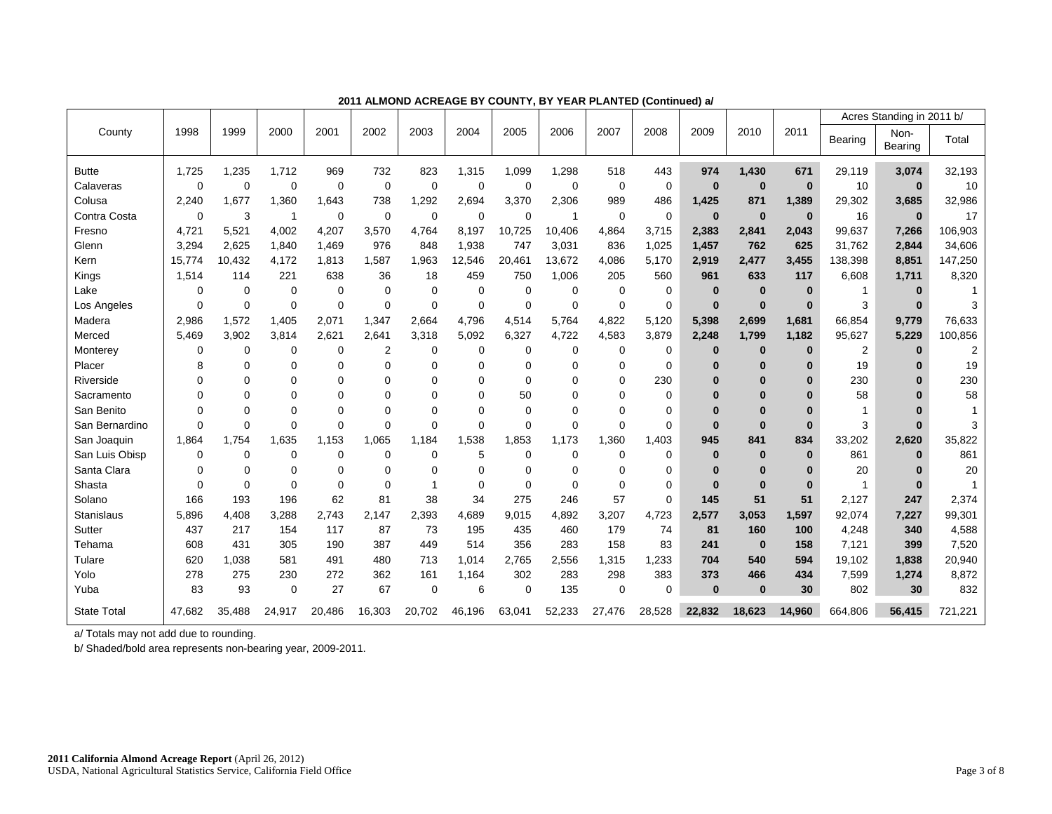|                    |          |             |                |             |                |             |             |             |             |             |             |          |             |          |                | Acres Standing in 2011 b/ |         |
|--------------------|----------|-------------|----------------|-------------|----------------|-------------|-------------|-------------|-------------|-------------|-------------|----------|-------------|----------|----------------|---------------------------|---------|
| County             | 1998     | 1999        | 2000           | 2001        | 2002           | 2003        | 2004        | 2005        | 2006        | 2007        | 2008        | 2009     | 2010        | 2011     | Bearing        | Non-<br>Bearing           | Total   |
| <b>Butte</b>       | 1,725    | 1,235       | 1,712          | 969         | 732            | 823         | 1,315       | 1,099       | 1,298       | 518         | 443         | 974      | 1,430       | 671      | 29,119         | 3,074                     | 32,193  |
| Calaveras          | $\Omega$ | $\mathbf 0$ | $\mathbf 0$    | $\mathbf 0$ | $\mathbf 0$    | $\mathbf 0$ | $\mathbf 0$ | $\mathbf 0$ | $\mathbf 0$ | 0           | 0           | $\bf{0}$ | $\bf{0}$    | $\bf{0}$ | 10             | $\bf{0}$                  | 10      |
| Colusa             | 2,240    | 1,677       | 1,360          | 1,643       | 738            | 1,292       | 2,694       | 3,370       | 2,306       | 989         | 486         | 1,425    | 871         | 1,389    | 29,302         | 3,685                     | 32,986  |
| Contra Costa       | $\Omega$ | 3           | -1             | $\mathbf 0$ | $\mathbf 0$    | $\mathbf 0$ | $\mathbf 0$ | $\mathbf 0$ |             | $\mathbf 0$ | $\mathbf 0$ | $\bf{0}$ | $\bf{0}$    | $\bf{0}$ | 16             | $\bf{0}$                  | 17      |
| Fresno             | 4.721    | 5,521       | 4,002          | 4,207       | 3,570          | 4,764       | 8,197       | 10,725      | 10,406      | 4,864       | 3,715       | 2,383    | 2,841       | 2,043    | 99,637         | 7,266                     | 106,903 |
| Glenn              | 3.294    | 2.625       | 1.840          | 1.469       | 976            | 848         | 1,938       | 747         | 3,031       | 836         | 1,025       | 1,457    | 762         | 625      | 31,762         | 2,844                     | 34,606  |
| Kern               | 15,774   | 10,432      | 4,172          | 1,813       | 1,587          | 1,963       | 12,546      | 20,461      | 13,672      | 4,086       | 5,170       | 2,919    | 2,477       | 3,455    | 138,398        | 8,851                     | 147,250 |
| Kings              | 1,514    | 114         | 221            | 638         | 36             | 18          | 459         | 750         | 1,006       | 205         | 560         | 961      | 633         | 117      | 6,608          | 1,711                     | 8,320   |
| Lake               | 0        | $\mathbf 0$ | $\mathbf 0$    | $\Omega$    | $\Omega$       | $\Omega$    | $\Omega$    | 0           | $\Omega$    | $\Omega$    | $\mathbf 0$ | $\bf{0}$ | $\bf{0}$    | $\bf{0}$ | 1              | $\bf{0}$                  |         |
| Los Angeles        | $\Omega$ | $\mathbf 0$ | $\mathbf 0$    | $\mathbf 0$ | $\mathbf 0$    | $\mathbf 0$ | $\mathbf 0$ | $\mathbf 0$ | $\mathbf 0$ | $\mathbf 0$ | $\mathbf 0$ | $\bf{0}$ | $\bf{0}$    | $\bf{0}$ | 3              | $\bf{0}$                  | 3       |
| Madera             | 2,986    | 1,572       | 1,405          | 2,071       | 1,347          | 2,664       | 4,796       | 4,514       | 5,764       | 4,822       | 5,120       | 5,398    | 2,699       | 1,681    | 66,854         | 9,779                     | 76,633  |
| Merced             | 5.469    | 3,902       | 3,814          | 2,621       | 2.641          | 3,318       | 5,092       | 6,327       | 4,722       | 4,583       | 3,879       | 2,248    | 1,799       | 1,182    | 95,627         | 5,229                     | 00,856  |
| Monterey           | 0        | $\mathbf 0$ | $\mathbf 0$    | $\mathbf 0$ | $\overline{2}$ | $\Omega$    | $\Omega$    | $\mathbf 0$ | $\mathbf 0$ | $\mathbf 0$ | 0           | $\bf{0}$ | $\bf{0}$    | $\bf{0}$ | $\overline{2}$ | $\bf{0}$                  | 2       |
| Placer             | 8        | 0           | 0              | 0           | $\Omega$       | 0           | 0           | $\Omega$    | 0           | $\Omega$    | $\Omega$    | $\bf{0}$ | $\bf{0}$    | 0        | 19             | 0                         | 19      |
| Riverside          | O        | $\Omega$    | $\Omega$       | $\Omega$    | $\Omega$       | $\Omega$    | $\Omega$    | $\Omega$    | $\Omega$    | $\Omega$    | 230         | O        | $\bf{0}$    | $\bf{0}$ | 230            | $\bf{0}$                  | 230     |
| Sacramento         | 0        | $\Omega$    | 0              | $\Omega$    | $\Omega$       | $\Omega$    | 0           | 50          | $\Omega$    | 0           | $\Omega$    | $\Omega$ | $\bf{0}$    | $\bf{0}$ | 58             | ŋ                         | 58      |
| San Benito         | $\Omega$ | $\Omega$    | $\overline{0}$ | $\Omega$    | $\Omega$       | $\Omega$    | $\Omega$    | $\Omega$    | $\Omega$    | $\Omega$    | $\Omega$    | $\Omega$ | $\bf{0}$    | $\bf{0}$ | 1              | O                         |         |
| San Bernardino     | 0        | $\Omega$    | $\Omega$       | $\Omega$    | $\Omega$       | $\Omega$    | $\Omega$    | $\Omega$    | $\Omega$    | $\Omega$    | $\Omega$    | $\bf{0}$ | $\bf{0}$    | $\bf{0}$ | 3              | $\bf{0}$                  | 3       |
| San Joaquin        | 1,864    | 1,754       | 1,635          | 1,153       | 1,065          | 1,184       | 1,538       | 1,853       | 1,173       | 1,360       | 1,403       | 945      | 841         | 834      | 33,202         | 2,620                     | 35,822  |
| San Luis Obisp     | 0        | $\mathbf 0$ | $\mathbf 0$    | $\mathbf 0$ | $\mathbf 0$    | $\Omega$    | 5           | $\mathbf 0$ | $\Omega$    | $\Omega$    | 0           | $\bf{0}$ | $\bf{0}$    | $\bf{0}$ | 861            | $\bf{0}$                  | 861     |
| Santa Clara        | $\Omega$ | $\Omega$    | $\mathbf 0$    | $\Omega$    | $\Omega$       | $\Omega$    | 0           | $\Omega$    | $\Omega$    | $\Omega$    | 0           | $\bf{0}$ | $\bf{0}$    | $\bf{0}$ | 20             | O                         | 20      |
| Shasta             | $\Omega$ | $\Omega$    | 0              | $\Omega$    | $\Omega$       |             | $\Omega$    | $\Omega$    | $\Omega$    | $\Omega$    | $\Omega$    | $\bf{0}$ | $\bf{0}$    | $\bf{0}$ | 1              | $\bf{0}$                  |         |
| Solano             | 166      | 193         | 196            | 62          | 81             | 38          | 34          | 275         | 246         | 57          | 0           | 145      | 51          | 51       | 2,127          | 247                       | 2,374   |
| <b>Stanislaus</b>  | 5.896    | 4.408       | 3,288          | 2.743       | 2.147          | 2,393       | 4,689       | 9,015       | 4,892       | 3,207       | 4,723       | 2,577    | 3,053       | 1,597    | 92,074         | 7,227                     | 99,301  |
| Sutter             | 437      | 217         | 154            | 117         | 87             | 73          | 195         | 435         | 460         | 179         | 74          | 81       | 160         | 100      | 4,248          | 340                       | 4,588   |
| Tehama             | 608      | 431         | 305            | 190         | 387            | 449         | 514         | 356         | 283         | 158         | 83          | 241      | $\bf{0}$    | 158      | 7,121          | 399                       | 7,520   |
| Tulare             | 620      | 1,038       | 581            | 491         | 480            | 713         | 1,014       | 2,765       | 2,556       | 1,315       | 1,233       | 704      | 540         | 594      | 19,102         | 1,838                     | 20,940  |
| Yolo               | 278      | 275         | 230            | 272         | 362            | 161         | 1,164       | 302         | 283         | 298         | 383         | 373      | 466         | 434      | 7,599          | 1,274                     | 8,872   |
| Yuba               | 83       | 93          | $\mathbf 0$    | 27          | 67             | $\mathbf 0$ | 6           | $\mathbf 0$ | 135         | $\mathbf 0$ | $\mathbf 0$ | $\bf{0}$ | $\mathbf 0$ | 30       | 802            | 30                        | 832     |
| <b>State Total</b> | 47,682   | 35.488      | 24,917         | 20,486      | 16,303         | 20,702      | 46,196      | 63,041      | 52,233      | 27,476      | 28,528      | 22,832   | 18.623      | 14.960   | 664.806        | 56,415                    | 721,221 |

**2011 ALMOND ACREAGE BY COUNTY, BY YEAR PLANTED (Continued) a/** 

b/ Shaded/bold area represents non-bearing year, 2009-2011.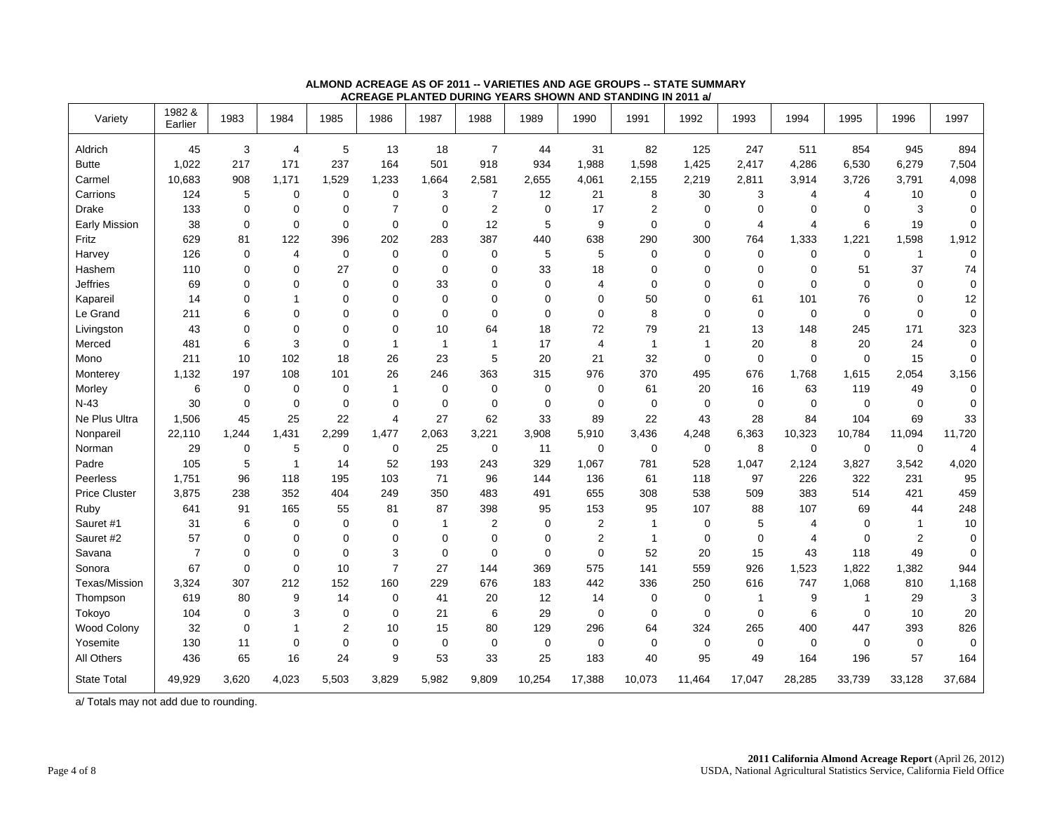| Variety              | 1982 &<br>Earlier | 1983        | 1984                    | 1985           | 1986           | 1987         | 1988           | 1989        | 1990           | 1991           | 1992        | 1993           | 1994        | 1995         | 1996           | 1997        |
|----------------------|-------------------|-------------|-------------------------|----------------|----------------|--------------|----------------|-------------|----------------|----------------|-------------|----------------|-------------|--------------|----------------|-------------|
| Aldrich              | 45                | 3           | $\overline{\mathbf{4}}$ | 5              | 13             | 18           | $\overline{7}$ | 44          | 31             | 82             | 125         | 247            | 511         | 854          | 945            | 894         |
| <b>Butte</b>         | 1,022             | 217         | 171                     | 237            | 164            | 501          | 918            | 934         | 1,988          | 1,598          | 1,425       | 2,417          | 4,286       | 6,530        | 6,279          | 7,504       |
| Carmel               | 10,683            | 908         | 1,171                   | 1,529          | 1,233          | 1,664        | 2,581          | 2,655       | 4,061          | 2,155          | 2,219       | 2,811          | 3,914       | 3,726        | 3,791          | 4,098       |
| Carrions             | 124               | 5           | 0                       | 0              | $\mathbf 0$    | 3            | $\overline{7}$ | 12          | 21             | 8              | 30          | 3              | 4           | 4            | 10             | 0           |
| Drake                | 133               | 0           | 0                       | 0              | $\overline{7}$ | $\mathbf 0$  | $\overline{2}$ | 0           | 17             | $\overline{2}$ | 0           | $\mathbf 0$    | 0           | $\mathbf 0$  | 3              | 0           |
| <b>Early Mission</b> | 38                | $\mathbf 0$ | $\mathbf 0$             | 0              | $\mathbf 0$    | $\mathbf 0$  | 12             | 5           | 9              | $\mathbf 0$    | $\mathbf 0$ | $\overline{4}$ | 4           | 6            | 19             | $\mathbf 0$ |
| Fritz                | 629               | 81          | 122                     | 396            | 202            | 283          | 387            | 440         | 638            | 290            | 300         | 764            | 1,333       | 1,221        | 1,598          | 1,912       |
| Harvey               | 126               | $\mathbf 0$ | $\overline{4}$          | 0              | $\mathbf 0$    | $\mathbf 0$  | $\mathbf 0$    | 5           | 5              | $\mathbf 0$    | $\mathbf 0$ | $\mathbf 0$    | $\mathbf 0$ | 0            | $\mathbf{1}$   | $\mathbf 0$ |
| Hashem               | 110               | $\mathbf 0$ | $\mathbf 0$             | 27             | 0              | $\mathbf 0$  | $\mathbf 0$    | 33          | 18             | $\mathbf 0$    | $\mathbf 0$ | $\mathbf 0$    | $\mathbf 0$ | 51           | 37             | 74          |
| <b>Jeffries</b>      | 69                | $\mathbf 0$ | 0                       | 0              | 0              | 33           | $\mathbf 0$    | 0           | $\overline{4}$ | $\mathbf 0$    | 0           | $\mathbf 0$    | $\mathbf 0$ | $\mathbf 0$  | $\mathbf 0$    | 0           |
| Kapareil             | 14                | 0           | 1                       | 0              | $\Omega$       | $\mathbf 0$  | $\mathbf 0$    | $\mathbf 0$ | $\mathbf 0$    | 50             | $\mathbf 0$ | 61             | 101         | 76           | $\pmb{0}$      | 12          |
| Le Grand             | 211               | 6           | 0                       | 0              | 0              | $\mathbf 0$  | $\mathbf 0$    | 0           | $\mathbf 0$    | 8              | $\mathbf 0$ | $\mathbf 0$    | 0           | $\mathbf 0$  | $\mathbf 0$    | 0           |
| Livingston           | 43                | $\mathbf 0$ | 0                       | 0              | $\mathbf 0$    | 10           | 64             | 18          | 72             | 79             | 21          | 13             | 148         | 245          | 171            | 323         |
| Merced               | 481               | 6           | 3                       | 0              | $\overline{1}$ | $\mathbf{1}$ | $\mathbf{1}$   | 17          | $\overline{4}$ | $\overline{1}$ | 1           | 20             | 8           | 20           | 24             | $\mathbf 0$ |
| Mono                 | 211               | 10          | 102                     | 18             | 26             | 23           | 5              | 20          | 21             | 32             | $\mathbf 0$ | $\mathbf 0$    | $\Omega$    | $\mathbf 0$  | 15             | 0           |
| Monterey             | 1,132             | 197         | 108                     | 101            | 26             | 246          | 363            | 315         | 976            | 370            | 495         | 676            | 1,768       | 1,615        | 2,054          | 3,156       |
| Morley               | 6                 | $\mathbf 0$ | $\mathbf 0$             | 0              | $\mathbf{1}$   | $\mathbf 0$  | $\mathbf 0$    | 0           | 0              | 61             | 20          | 16             | 63          | 119          | 49             | 0           |
| $N-43$               | 30                | $\mathbf 0$ | $\mathbf 0$             | 0              | $\mathbf 0$    | $\mathbf 0$  | $\mathbf 0$    | 0           | $\mathbf 0$    | $\mathbf 0$    | 0           | $\mathbf 0$    | $\mathbf 0$ | $\mathbf 0$  | $\mathbf 0$    | 0           |
| Ne Plus Ultra        | 1,506             | 45          | 25                      | 22             | $\overline{4}$ | 27           | 62             | 33          | 89             | 22             | 43          | 28             | 84          | 104          | 69             | 33          |
| Nonpareil            | 22,110            | 1,244       | 1,431                   | 2,299          | 1,477          | 2,063        | 3,221          | 3,908       | 5,910          | 3,436          | 4,248       | 6,363          | 10,323      | 10,784       | 11,094         | 11,720      |
| Norman               | 29                | 0           | 5                       | 0              | $\mathbf 0$    | 25           | $\mathbf 0$    | 11          | $\mathbf 0$    | $\mathbf 0$    | 0           | 8              | 0           | $\mathbf 0$  | $\mathbf 0$    | 4           |
| Padre                | 105               | 5           | $\overline{1}$          | 14             | 52             | 193          | 243            | 329         | 1,067          | 781            | 528         | 1,047          | 2,124       | 3,827        | 3,542          | 4,020       |
| Peerless             | 1,751             | 96          | 118                     | 195            | 103            | 71           | 96             | 144         | 136            | 61             | 118         | 97             | 226         | 322          | 231            | 95          |
| <b>Price Cluster</b> | 3,875             | 238         | 352                     | 404            | 249            | 350          | 483            | 491         | 655            | 308            | 538         | 509            | 383         | 514          | 421            | 459         |
| Ruby                 | 641               | 91          | 165                     | 55             | 81             | 87           | 398            | 95          | 153            | 95             | 107         | 88             | 107         | 69           | 44             | 248         |
| Sauret #1            | 31                | 6           | $\mathbf 0$             | 0              | $\mathbf 0$    | $\mathbf{1}$ | $\overline{2}$ | 0           | 2              | $\overline{1}$ | 0           | 5              | 4           | 0            | $\mathbf{1}$   | $10$        |
| Sauret #2            | 57                | 0           | 0                       | 0              | $\mathbf 0$    | $\mathbf 0$  | $\mathbf 0$    | 0           | $\overline{c}$ | $\overline{1}$ | 0           | $\mathbf 0$    | 4           | $\mathbf 0$  | $\overline{c}$ | 0           |
| Savana               | $\overline{7}$    | $\mathbf 0$ | 0                       | 0              | 3              | $\mathbf 0$  | $\mathbf 0$    | 0           | $\mathbf 0$    | 52             | 20          | 15             | 43          | 118          | 49             | 0           |
| Sonora               | 67                | 0           | 0                       | 10             | $\overline{7}$ | 27           | 144            | 369         | 575            | 141            | 559         | 926            | 1,523       | 1,822        | 1,382          | 944         |
| Texas/Mission        | 3.324             | 307         | 212                     | 152            | 160            | 229          | 676            | 183         | 442            | 336            | 250         | 616            | 747         | 1,068        | 810            | 1,168       |
| Thompson             | 619               | 80          | 9                       | 14             | $\mathbf 0$    | 41           | 20             | 12          | 14             | $\mathbf 0$    | $\mathbf 0$ | 1              | 9           | $\mathbf{1}$ | 29             | 3           |
| Tokoyo               | 104               | 0           | 3                       | 0              | $\mathbf 0$    | 21           | 6              | 29          | $\mathbf 0$    | $\mathbf 0$    | $\mathbf 0$ | $\mathbf 0$    | 6           | 0            | 10             | 20          |
| Wood Colony          | 32                | $\mathbf 0$ | 1                       | $\overline{2}$ | 10             | 15           | 80             | 129         | 296            | 64             | 324         | 265            | 400         | 447          | 393            | 826         |
| Yosemite             | 130               | 11          | $\mathbf 0$             | 0              | $\mathbf 0$    | $\mathbf 0$  | $\mathbf 0$    | 0           | 0              | $\mathbf 0$    | 0           | $\mathbf 0$    | $\mathbf 0$ | $\mathbf 0$  | $\mathbf 0$    | 0           |
| All Others           | 436               | 65          | 16                      | 24             | 9              | 53           | 33             | 25          | 183            | 40             | 95          | 49             | 164         | 196          | 57             | 164         |
| <b>State Total</b>   | 49,929            | 3,620       | 4,023                   | 5,503          | 3,829          | 5,982        | 9,809          | 10,254      | 17,388         | 10,073         | 11,464      | 17,047         | 28,285      | 33,739       | 33,128         | 37,684      |

#### **ALMOND ACREAGE AS OF 2011 -- VARIETIES AND AGE GROUPS -- STATE SUMMARY ACREAGE PLANTED DURING YEARS SHOWN AND STANDING IN 2011 a/**

a/ Totals may not add due to rounding.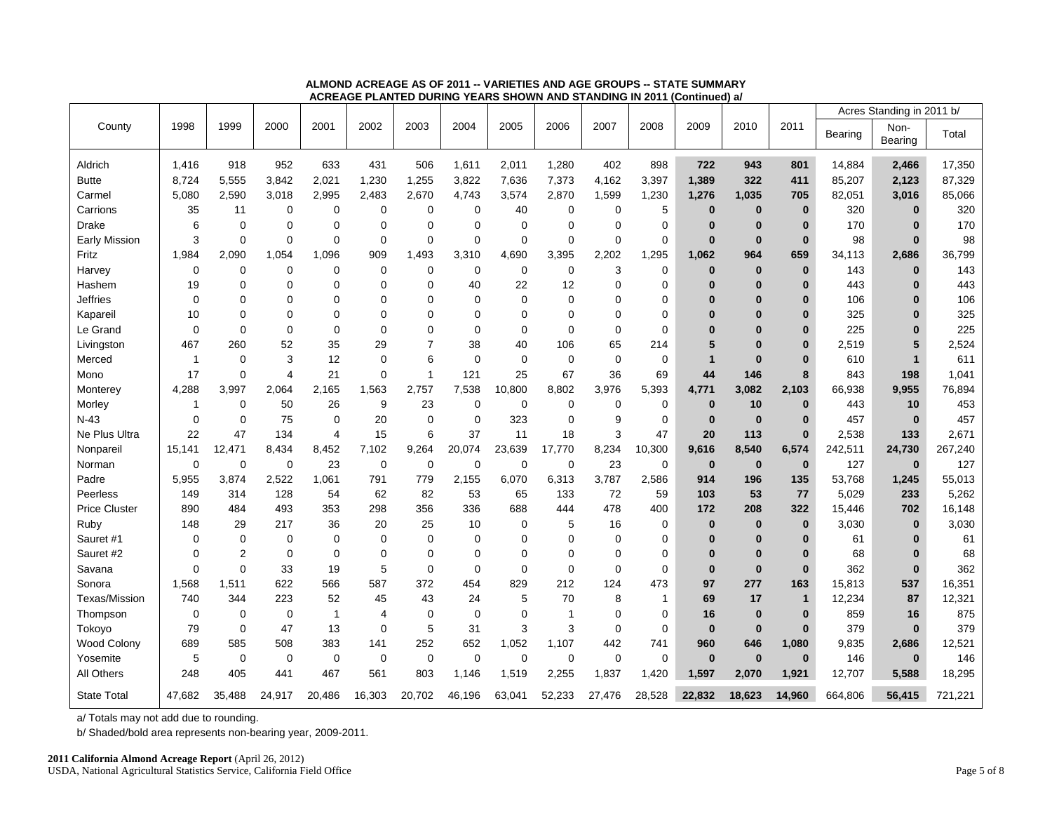|                      |             |                |             |                |             |              |             |             |             |             |              |              |              |              |         | Acres Standing in 2011 b/ |         |
|----------------------|-------------|----------------|-------------|----------------|-------------|--------------|-------------|-------------|-------------|-------------|--------------|--------------|--------------|--------------|---------|---------------------------|---------|
| County               | 1998        | 1999           | 2000        | 2001           | 2002        | 2003         | 2004        | 2005        | 2006        | 2007        | 2008         | 2009         | 2010         | 2011         | Bearing | Non-                      | Total   |
|                      |             |                |             |                |             |              |             |             |             |             |              |              |              |              |         | Bearing                   |         |
| Aldrich              | 1,416       | 918            | 952         | 633            | 431         | 506          | 1,611       | 2,011       | 1,280       | 402         | 898          | 722          | 943          | 801          | 14,884  | 2,466                     | 17,350  |
| <b>Butte</b>         | 8,724       | 5,555          | 3,842       | 2,021          | 1,230       | 1,255        | 3,822       | 7,636       | 7,373       | 4,162       | 3,397        | 1,389        | 322          | 411          | 85,207  | 2,123                     | 87,329  |
| Carmel               | 5,080       | 2,590          | 3,018       | 2,995          | 2,483       | 2,670        | 4,743       | 3,574       | 2,870       | 1,599       | 1,230        | 1,276        | 1,035        | 705          | 82,051  | 3,016                     | 85,066  |
| Carrions             | 35          | 11             | 0           | 0              | $\mathbf 0$ | 0            | 0           | 40          | $\mathbf 0$ | 0           | 5            | $\bf{0}$     | $\bf{0}$     | $\bf{0}$     | 320     | $\bf{0}$                  | 320     |
| <b>Drake</b>         | 6           | $\Omega$       | 0           | $\mathbf 0$    | $\Omega$    | $\Omega$     | $\Omega$    | $\Omega$    | 0           | 0           | $\mathbf 0$  | $\bf{0}$     | $\bf{0}$     | $\bf{0}$     | 170     | $\mathbf{0}$              | 170     |
| Early Mission        | 3           | $\mathbf 0$    | $\mathbf 0$ | $\mathbf 0$    | $\mathbf 0$ | $\mathbf 0$  | 0           | 0           | $\mathbf 0$ | $\mathbf 0$ | $\mathbf 0$  | $\bf{0}$     | $\mathbf{0}$ | $\bf{0}$     | 98      | $\bf{0}$                  | 98      |
| Fritz                | 1,984       | 2,090          | 1,054       | 1,096          | 909         | 1,493        | 3,310       | 4,690       | 3,395       | 2,202       | 1,295        | 1,062        | 964          | 659          | 34,113  | 2,686                     | 36,799  |
| Harvey               | $\mathbf 0$ | $\mathbf 0$    | $\mathbf 0$ | $\mathbf 0$    | $\mathbf 0$ | $\mathbf 0$  | $\mathbf 0$ | $\mathbf 0$ | $\mathbf 0$ | 3           | $\mathbf 0$  | $\mathbf{0}$ | $\bf{0}$     | $\bf{0}$     | 143     | $\bf{0}$                  | 143     |
| Hashem               | 19          | $\mathbf 0$    | 0           | $\mathbf 0$    | $\Omega$    | $\mathbf 0$  | 40          | 22          | 12          | 0           | $\mathbf 0$  | $\bf{0}$     | $\bf{0}$     | $\bf{0}$     | 443     | $\mathbf{0}$              | 443     |
| Jeffries             | $\mathbf 0$ | $\mathbf 0$    | 0           | 0              | $\mathbf 0$ | $\Omega$     | $\Omega$    | 0           | $\mathbf 0$ | 0           | $\mathbf 0$  | $\bf{0}$     | $\bf{0}$     | $\bf{0}$     | 106     | $\mathbf{0}$              | 106     |
| Kapareil             | 10          | $\Omega$       | $\Omega$    | $\Omega$       | $\Omega$    | $\Omega$     | $\Omega$    | $\Omega$    | $\Omega$    | 0           | $\Omega$     | $\Omega$     | $\bf{0}$     | $\bf{0}$     | 325     | $\Omega$                  | 325     |
| Le Grand             | $\mathbf 0$ | $\mathbf 0$    | 0           | $\mathbf 0$    | $\Omega$    | 0            | $\Omega$    | 0           | 0           | 0           | $\mathbf 0$  | $\bf{0}$     | $\bf{0}$     | $\bf{0}$     | 225     | $\mathbf{0}$              | 225     |
| Livingston           | 467         | 260            | 52          | 35             | 29          | 7            | 38          | 40          | 106         | 65          | 214          | 5            | $\bf{0}$     | $\bf{0}$     | 2,519   | 5                         | 2,524   |
| Merced               | 1           | $\mathbf 0$    | 3           | 12             | $\mathbf 0$ | 6            | 0           | 0           | $\mathbf 0$ | $\mathbf 0$ | $\mathbf 0$  | $\mathbf{1}$ | $\bf{0}$     | $\bf{0}$     | 610     | $\overline{1}$            | 611     |
| Mono                 | 17          | $\mathbf 0$    | 4           | 21             | $\mathbf 0$ | $\mathbf{1}$ | 121         | 25          | 67          | 36          | 69           | 44           | 146          | 8            | 843     | 198                       | 1,041   |
| Monterey             | 4,288       | 3,997          | 2,064       | 2,165          | 1,563       | 2,757        | 7,538       | 10,800      | 8,802       | 3,976       | 5,393        | 4,771        | 3,082        | 2,103        | 66,938  | 9,955                     | 76,894  |
| Morley               | 1           | $\mathbf 0$    | 50          | 26             | 9           | 23           | 0           | 0           | $\mathbf 0$ | 0           | 0            | $\bf{0}$     | 10           | $\bf{0}$     | 443     | 10                        | 453     |
| $N-43$               | $\mathbf 0$ | $\mathbf 0$    | 75          | $\mathbf 0$    | 20          | $\mathbf 0$  | 0           | 323         | $\mathbf 0$ | 9           | $\mathbf 0$  | $\bf{0}$     | $\mathbf{0}$ | $\bf{0}$     | 457     | $\bf{0}$                  | 457     |
| Ne Plus Ultra        | 22          | 47             | 134         | $\overline{4}$ | 15          | 6            | 37          | 11          | 18          | 3           | 47           | 20           | 113          | $\bf{0}$     | 2,538   | 133                       | 2,671   |
| Nonpareil            | 15,141      | 12,471         | 8,434       | 8,452          | 7,102       | 9,264        | 20,074      | 23,639      | 17,770      | 8,234       | 10,300       | 9,616        | 8,540        | 6,574        | 242,511 | 24,730                    | 267,240 |
| Norman               | 0           | 0              | $\mathbf 0$ | 23             | $\mathbf 0$ | $\mathbf 0$  | 0           | 0           | $\mathbf 0$ | 23          | $\mathbf 0$  | $\bf{0}$     | $\bf{0}$     | $\mathbf{0}$ | 127     | $\bf{0}$                  | 127     |
| Padre                | 5.955       | 3,874          | 2,522       | 1.061          | 791         | 779          | 2,155       | 6,070       | 6,313       | 3,787       | 2,586        | 914          | 196          | 135          | 53,768  | 1,245                     | 55,013  |
| Peerless             | 149         | 314            | 128         | 54             | 62          | 82           | 53          | 65          | 133         | 72          | 59           | 103          | 53           | 77           | 5,029   | 233                       | 5,262   |
| <b>Price Cluster</b> | 890         | 484            | 493         | 353            | 298         | 356          | 336         | 688         | 444         | 478         | 400          | 172          | 208          | 322          | 15,446  | 702                       | 16,148  |
| Ruby                 | 148         | 29             | 217         | 36             | 20          | 25           | 10          | 0           | 5           | 16          | 0            | $\bf{0}$     | $\bf{0}$     | $\bf{0}$     | 3,030   | $\bf{0}$                  | 3,030   |
| Sauret #1            | 0           | $\mathbf 0$    | 0           | $\mathbf 0$    | $\mathbf 0$ | 0            | 0           | 0           | $\mathbf 0$ | 0           | 0            | $\bf{0}$     | $\bf{0}$     | $\bf{0}$     | 61      | $\mathbf{0}$              | 61      |
| Sauret #2            | $\mathbf 0$ | $\overline{2}$ | $\mathbf 0$ | $\mathbf 0$    | $\Omega$    | $\Omega$     | $\Omega$    | $\Omega$    | $\mathbf 0$ | 0           | $\mathbf 0$  | $\bf{0}$     | $\bf{0}$     | $\bf{0}$     | 68      | $\bf{0}$                  | 68      |
| Savana               | $\mathbf 0$ | $\mathbf 0$    | 33          | 19             | 5           | $\mathbf 0$  | 0           | 0           | 0           | 0           | 0            | $\bf{0}$     | $\bf{0}$     | $\bf{0}$     | 362     | $\bf{0}$                  | 362     |
| Sonora               | 1.568       | 1,511          | 622         | 566            | 587         | 372          | 454         | 829         | 212         | 124         | 473          | 97           | 277          | 163          | 15,813  | 537                       | 16,351  |
| Texas/Mission        | 740         | 344            | 223         | 52             | 45          | 43           | 24          | 5           | 70          | 8           | $\mathbf{1}$ | 69           | 17           | $\mathbf{1}$ | 12,234  | 87                        | 12,321  |
| Thompson             | $\mathbf 0$ | $\mathbf 0$    | $\mathbf 0$ | $\overline{1}$ | 4           | $\mathbf 0$  | $\mathbf 0$ | 0           | -1          | 0           | 0            | 16           | $\bf{0}$     | $\bf{0}$     | 859     | 16                        | 875     |
| Tokoyo               | 79          | 0              | 47          | 13             | $\mathbf 0$ | $\mathbf 5$  | 31          | 3           | 3           | $\mathbf 0$ | $\mathbf 0$  | $\bf{0}$     | $\mathbf{0}$ | $\mathbf{0}$ | 379     | $\bf{0}$                  | 379     |
| <b>Wood Colony</b>   | 689         | 585            | 508         | 383            | 141         | 252          | 652         | 1,052       | 1,107       | 442         | 741          | 960          | 646          | 1,080        | 9,835   | 2,686                     | 12,521  |
| Yosemite             | 5           | $\mathbf 0$    | 0           | 0              | 0           | 0            | 0           | 0           | 0           | 0           | 0            | $\bf{0}$     | $\bf{0}$     | $\bf{0}$     | 146     | $\bf{0}$                  | 146     |
| <b>All Others</b>    | 248         | 405            | 441         | 467            | 561         | 803          | 1,146       | 1,519       | 2,255       | 1,837       | 1,420        | 1.597        | 2.070        | 1,921        | 12,707  | 5,588                     | 18,295  |
| <b>State Total</b>   | 47.682      | 35,488         | 24,917      | 20,486         | 16,303      | 20,702       | 46,196      | 63,041      | 52,233      | 27,476      | 28,528       | 22,832       | 18,623       | 14,960       | 664,806 | 56,415                    | 721,221 |

#### **ALMOND ACREAGE AS OF 2011 -- VARIETIES AND AGE GROUPS -- STATE SUMMARY ACREAGE PLANTED DURING YEARS SHOWN AND STANDING IN 2011 (Continued) a/**

a/ Totals may not add due to rounding.

b/ Shaded/bold area represents non-bearing year, 2009-2011.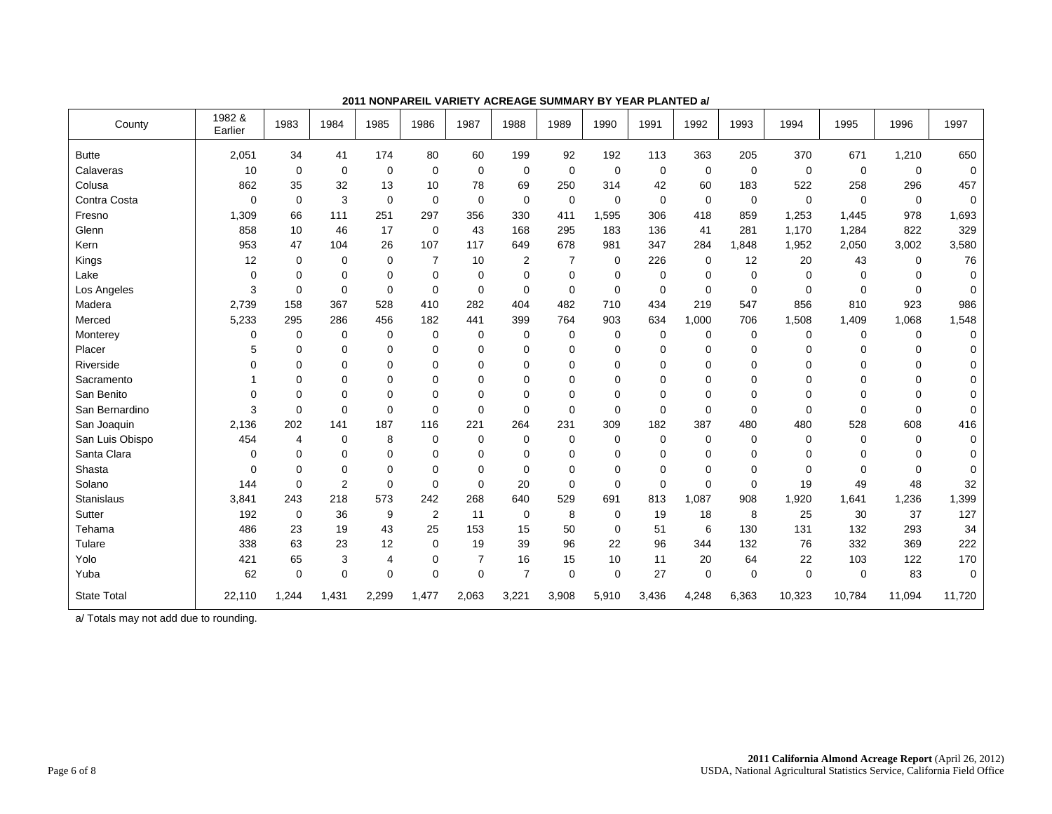| County             | 1982 &<br>Earlier | 1983           | 1984        | 1985           | 1986           | 1987        | 1988           | 1989        | 1990        | 1991        | 1992        | 1993        | 1994        | 1995     | 1996        | 1997     |
|--------------------|-------------------|----------------|-------------|----------------|----------------|-------------|----------------|-------------|-------------|-------------|-------------|-------------|-------------|----------|-------------|----------|
| <b>Butte</b>       | 2,051             | 34             | 41          | 174            | 80             | 60          | 199            | 92          | 192         | 113         | 363         | 205         | 370         | 671      | 1,210       | 650      |
| Calaveras          | 10                | $\mathbf 0$    | 0           | 0              | $\mathbf 0$    | $\Omega$    | 0              | $\Omega$    | $\mathbf 0$ | 0           | $\mathbf 0$ | 0           | 0           | 0        | $\mathbf 0$ | $\Omega$ |
| Colusa             | 862               | 35             | 32          | 13             | 10             | 78          | 69             | 250         | 314         | 42          | 60          | 183         | 522         | 258      | 296         | 457      |
| Contra Costa       | 0                 | $\mathbf 0$    | 3           | $\mathbf 0$    | 0              | 0           | $\mathbf 0$    | $\mathbf 0$ | $\mathbf 0$ | 0           | $\mathbf 0$ | $\mathbf 0$ | $\mathbf 0$ | 0        | $\mathbf 0$ | $\Omega$ |
| Fresno             | 1,309             | 66             | 111         | 251            | 297            | 356         | 330            | 411         | 1,595       | 306         | 418         | 859         | 1,253       | 1,445    | 978         | 1,693    |
| Glenn              | 858               | 10             | 46          | 17             | 0              | 43          | 168            | 295         | 183         | 136         | 41          | 281         | 1,170       | 1,284    | 822         | 329      |
| Kern               | 953               | 47             | 104         | 26             | 107            | 117         | 649            | 678         | 981         | 347         | 284         | 1.848       | 1,952       | 2,050    | 3,002       | 3,580    |
| Kings              | 12                | $\mathbf 0$    | 0           | 0              | $\overline{7}$ | 10          | $\overline{2}$ | 7           | $\mathbf 0$ | 226         | $\mathbf 0$ | 12          | 20          | 43       | 0           | 76       |
| Lake               | 0                 | 0              | 0           | 0              | $\mathbf 0$    | $\mathbf 0$ | $\mathbf 0$    | 0           | 0           | 0           | 0           | 0           | 0           | 0        | 0           | $\Omega$ |
| Los Angeles        | 3                 | 0              | 0           | $\mathbf 0$    | $\mathbf 0$    | 0           | 0              | 0           | 0           | $\mathbf 0$ | $\mathbf 0$ | 0           | 0           | 0        | $\mathbf 0$ | 0        |
| Madera             | 2,739             | 158            | 367         | 528            | 410            | 282         | 404            | 482         | 710         | 434         | 219         | 547         | 856         | 810      | 923         | 986      |
| Merced             | 5,233             | 295            | 286         | 456            | 182            | 441         | 399            | 764         | 903         | 634         | 1,000       | 706         | 1,508       | 1,409    | 1,068       | 1,548    |
| Monterey           | 0                 | 0              | 0           | 0              | 0              | 0           | 0              | 0           | 0           | 0           | 0           | 0           | 0           | 0        | 0           | 0        |
| Placer             | 5                 | 0              | 0           | 0              | $\mathbf 0$    | $\mathbf 0$ | 0              | 0           | 0           | 0           | 0           | 0           | 0           | 0        | 0           | 0        |
| Riverside          | 0                 | 0              | 0           | 0              | $\mathbf 0$    | $\Omega$    | 0              | 0           | 0           | 0           | $\mathbf 0$ | 0           | 0           | 0        | 0           | 0        |
| Sacramento         |                   | 0              | 0           | $\mathbf 0$    | $\Omega$       | $\Omega$    | 0              | 0           | 0           | 0           | $\mathbf 0$ | 0           | 0           | $\Omega$ | $\Omega$    | 0        |
| San Benito         | 0                 | 0              | $\mathbf 0$ | $\mathbf 0$    | $\Omega$       | $\mathbf 0$ | $\mathbf 0$    | 0           | $\mathbf 0$ | 0           | $\mathbf 0$ | 0           | 0           | 0        | 0           | 0        |
| San Bernardino     | 3                 | $\mathbf 0$    | 0           | $\mathbf 0$    | $\Omega$       | $\Omega$    | $\mathbf 0$    | $\mathbf 0$ | $\mathbf 0$ | $\mathbf 0$ | $\mathbf 0$ | 0           | $\mathbf 0$ | 0        | $\Omega$    | $\Omega$ |
| San Joaquin        | 2,136             | 202            | 141         | 187            | 116            | 221         | 264            | 231         | 309         | 182         | 387         | 480         | 480         | 528      | 608         | 416      |
| San Luis Obispo    | 454               | $\overline{4}$ | 0           | 8              | 0              | 0           | 0              | 0           | $\mathbf 0$ | $\mathbf 0$ | $\mathbf 0$ | 0           | 0           | 0        | $\Omega$    | $\Omega$ |
| Santa Clara        | 0                 | $\mathbf 0$    | $\mathbf 0$ | $\mathbf 0$    | $\Omega$       | $\Omega$    | 0              | 0           | $\mathbf 0$ | 0           | $\mathbf 0$ | 0           | $\mathbf 0$ | 0        | 0           | $\Omega$ |
| Shasta             | 0                 | $\mathbf 0$    | 0           | $\mathbf 0$    | $\mathbf 0$    | $\Omega$    | $\mathbf 0$    | 0           | 0           | $\mathbf 0$ | $\mathbf 0$ | 0           | $\mathbf 0$ | $\Omega$ | $\Omega$    | $\Omega$ |
| Solano             | 144               | $\mathbf 0$    | 2           | $\mathbf 0$    | $\Omega$       | $\Omega$    | 20             | 0           | $\mathbf 0$ | $\mathbf 0$ | $\Omega$    | $\Omega$    | 19          | 49       | 48          | 32       |
| <b>Stanislaus</b>  | 3,841             | 243            | 218         | 573            | 242            | 268         | 640            | 529         | 691         | 813         | 1,087       | 908         | 1,920       | 1,641    | 1,236       | 1,399    |
| Sutter             | 192               | $\mathbf 0$    | 36          | 9              | 2              | 11          | 0              | 8           | $\mathbf 0$ | 19          | 18          | 8           | 25          | 30       | 37          | 127      |
| Tehama             | 486               | 23             | 19          | 43             | 25             | 153         | 15             | 50          | $\mathbf 0$ | 51          | 6           | 130         | 131         | 132      | 293         | 34       |
| Tulare             | 338               | 63             | 23          | 12             | $\Omega$       | 19          | 39             | 96          | 22          | 96          | 344         | 132         | 76          | 332      | 369         | 222      |
| Yolo               | 421               | 65             | 3           | $\overline{4}$ | $\mathbf 0$    | 7           | 16             | 15          | 10          | 11          | 20          | 64          | 22          | 103      | 122         | 170      |
| Yuba               | 62                | $\mathbf 0$    | $\mathbf 0$ | $\mathbf 0$    | $\Omega$       | $\mathbf 0$ | $\overline{7}$ | 0           | $\mathbf 0$ | 27          | $\mathbf 0$ | 0           | $\mathbf 0$ | 0        | 83          | $\Omega$ |
| <b>State Total</b> | 22,110            | 1,244          | 1,431       | 2,299          | 1,477          | 2,063       | 3,221          | 3,908       | 5,910       | 3,436       | 4,248       | 6,363       | 10,323      | 10,784   | 11,094      | 11,720   |

**2011 NONPAREIL VARIETY ACREAGE SUMMARY BY YEAR PLANTED a/**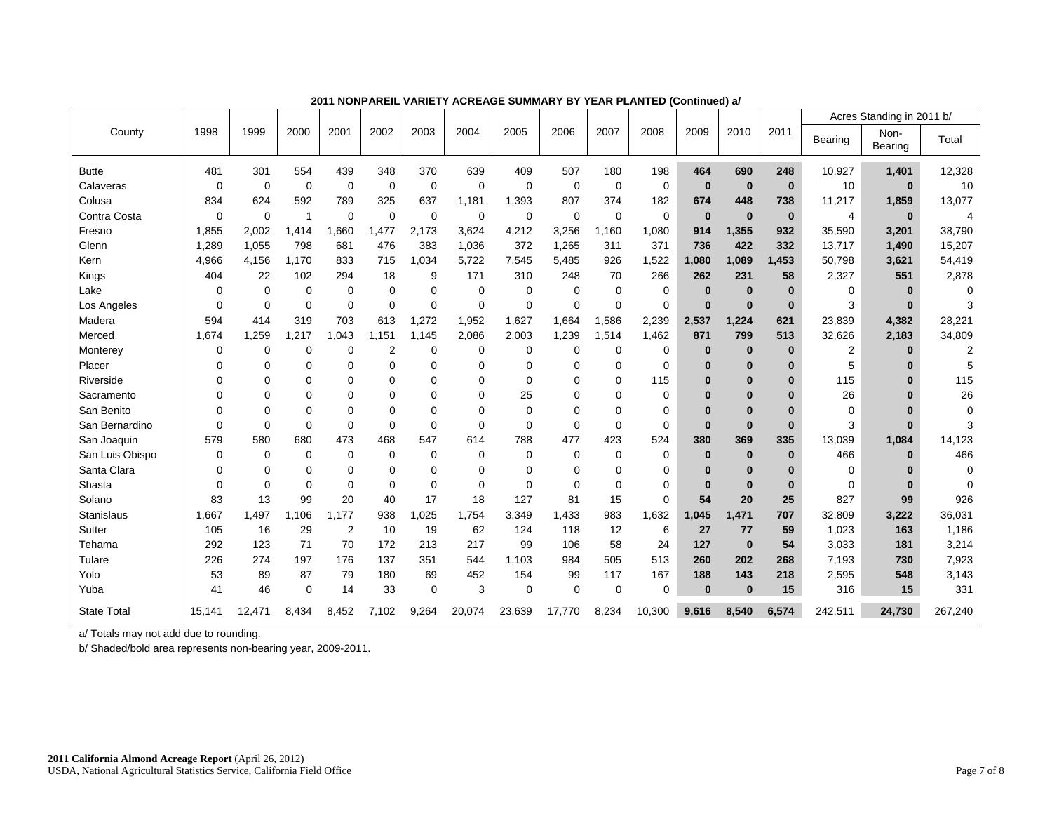|                    |             |          |             |             |             |             |             |             |             |             |             |          |              |              |                | Acres Standing in 2011 b/ |                |
|--------------------|-------------|----------|-------------|-------------|-------------|-------------|-------------|-------------|-------------|-------------|-------------|----------|--------------|--------------|----------------|---------------------------|----------------|
| County             | 1998        | 1999     | 2000        | 2001        | 2002        | 2003        | 2004        | 2005        | 2006        | 2007        | 2008        | 2009     | 2010         | 2011         | <b>Bearing</b> | Non-<br>Bearing           | Total          |
| <b>Butte</b>       | 481         | 301      | 554         | 439         | 348         | 370         | 639         | 409         | 507         | 180         | 198         | 464      | 690          | 248          | 10,927         | 1,401                     | 12,328         |
| Calaveras          | $\mathbf 0$ | 0        | $\mathbf 0$ | $\mathbf 0$ | $\mathbf 0$ | $\mathbf 0$ | $\mathbf 0$ | $\mathbf 0$ | $\mathbf 0$ | $\mathbf 0$ | $\mathbf 0$ | $\bf{0}$ | $\mathbf{0}$ | $\mathbf{0}$ | 10             | $\bf{0}$                  | 10             |
| Colusa             | 834         | 624      | 592         | 789         | 325         | 637         | 1,181       | 1,393       | 807         | 374         | 182         | 674      | 448          | 738          | 11,217         | 1,859                     | 13,077         |
| Contra Costa       | $\mathbf 0$ | 0        | 1           | $\mathbf 0$ | $\mathbf 0$ | $\mathbf 0$ | $\mathbf 0$ | $\mathbf 0$ | $\mathbf 0$ | $\mathbf 0$ | $\mathbf 0$ | $\bf{0}$ | $\mathbf{0}$ | $\bf{0}$     | $\overline{4}$ | $\bf{0}$                  | 4              |
| Fresno             | 1,855       | 2,002    | 1,414       | 1,660       | 1,477       | 2,173       | 3,624       | 4,212       | 3,256       | 1,160       | 1,080       | 914      | 1,355        | 932          | 35,590         | 3,201                     | 38.790         |
| Glenn              | 1,289       | 1,055    | 798         | 681         | 476         | 383         | 1,036       | 372         | 1,265       | 311         | 371         | 736      | 422          | 332          | 13,717         | 1,490                     | 15,207         |
| Kern               | 4,966       | 4,156    | 1,170       | 833         | 715         | 1,034       | 5,722       | 7,545       | 5,485       | 926         | 1,522       | 1,080    | 1,089        | 1,453        | 50,798         | 3,621                     | 54,419         |
| Kings              | 404         | 22       | 102         | 294         | 18          | 9           | 171         | 310         | 248         | 70          | 266         | 262      | 231          | 58           | 2,327          | 551                       | 2,878          |
| Lake               | $\Omega$    | $\Omega$ | $\Omega$    | 0           | $\mathbf 0$ | $\Omega$    | $\mathbf 0$ | $\Omega$    | $\Omega$    | $\Omega$    | $\mathbf 0$ | $\bf{0}$ | $\bf{0}$     | $\bf{0}$     | 0              | $\mathbf{0}$              | 0              |
| Los Angeles        | $\mathbf 0$ | 0        | $\mathbf 0$ | $\mathbf 0$ | $\mathbf 0$ | $\mathbf 0$ | $\mathbf 0$ | $\mathbf 0$ | 0           | $\mathbf 0$ | $\mathbf 0$ | $\bf{0}$ | $\bf{0}$     | $\bf{0}$     | 3              | $\bf{0}$                  | 3              |
| Madera             | 594         | 414      | 319         | 703         | 613         | 1,272       | 1,952       | 1,627       | 1,664       | .586<br>1   | 2,239       | 2,537    | 1,224        | 621          | 23,839         | 4,382                     | 28,221         |
| Merced             | 1,674       | 1,259    | ,217        | 1,043       | 1,151       | 1,145       | 2,086       | 2,003       | 1,239       | 1,514       | 1,462       | 871      | 799          | 513          | 32,626         | 2,183                     | 34,809         |
| Monterey           | $\mathbf 0$ | $\Omega$ | 0           | $\Omega$    | 2           | $\Omega$    | $\mathbf 0$ | $\mathbf 0$ | 0           | 0           | 0           | $\bf{0}$ | $\bf{0}$     | $\bf{0}$     | $\overline{2}$ | $\bf{0}$                  | $\overline{2}$ |
| Placer             | $\Omega$    | $\Omega$ | $\mathbf 0$ | $\mathbf 0$ | $\mathbf 0$ | $\mathbf 0$ | $\mathbf 0$ | $\Omega$    | $\Omega$    | 0           | $\mathbf 0$ | $\bf{0}$ | $\bf{0}$     | $\bf{0}$     | 5              | $\bf{0}$                  | 5              |
| Riverside          | $\Omega$    | $\Omega$ | 0           | $\Omega$    | $\Omega$    | 0           | $\Omega$    | $\Omega$    | 0           | $\Omega$    | 115         | $\bf{0}$ | $\bf{0}$     | $\bf{0}$     | 115            | $\bf{0}$                  | 115            |
| Sacramento         | $\Omega$    | $\Omega$ | $\Omega$    | $\Omega$    | $\Omega$    | $\Omega$    | $\Omega$    | 25          | $\Omega$    | $\Omega$    | $\mathbf 0$ | $\bf{0}$ | $\bf{0}$     | $\Omega$     | 26             | $\Omega$                  | 26             |
| San Benito         | $\Omega$    | $\Omega$ | $\Omega$    | $\Omega$    | $\Omega$    | $\Omega$    | $\Omega$    | $\Omega$    | $\Omega$    | $\Omega$    | $\mathbf 0$ | $\bf{0}$ | $\bf{0}$     | $\Omega$     | 0              | $\bf{0}$                  | 0              |
| San Bernardino     | $\Omega$    | $\Omega$ | $\Omega$    | $\mathbf 0$ | $\Omega$    | $\Omega$    | $\Omega$    | $\Omega$    | $\Omega$    | $\mathbf 0$ | $\mathbf 0$ | $\bf{0}$ | $\bf{0}$     | $\bf{0}$     | 3              | $\mathbf{0}$              | 3              |
| San Joaquin        | 579         | 580      | 680         | 473         | 468         | 547         | 614         | 788         | 477         | 423         | 524         | 380      | 369          | 335          | 13,039         | 1,084                     | 14,123         |
| San Luis Obispo    | $\mathbf 0$ | 0        | $\mathbf 0$ | $\mathbf 0$ | $\mathbf 0$ | 0           | $\mathbf 0$ | $\mathbf 0$ | 0           | $\mathbf 0$ | $\mathbf 0$ | $\bf{0}$ | $\bf{0}$     | $\bf{0}$     | 466            | $\mathbf{0}$              | 466            |
| Santa Clara        | 0           | $\Omega$ | 0           | 0           | 0           | 0           | $\Omega$    | $\Omega$    | $\Omega$    | 0           | $\mathbf 0$ | $\bf{0}$ | $\bf{0}$     | $\bf{0}$     | $\mathbf 0$    | $\bf{0}$                  | $\mathbf 0$    |
| Shasta             | $\Omega$    | $\Omega$ | $\Omega$    | $\mathbf 0$ | $\mathbf 0$ | $\Omega$    | $\Omega$    | $\Omega$    | $\Omega$    | $\Omega$    | $\mathbf 0$ | $\bf{0}$ | $\mathbf{0}$ | $\bf{0}$     | $\Omega$       | $\mathbf{0}$              | $\mathbf 0$    |
| Solano             | 83          | 13       | 99          | 20          | 40          | 17          | 18          | 127         | 81          | 15          | $\mathbf 0$ | 54       | 20           | 25           | 827            | 99                        | 926            |
| <b>Stanislaus</b>  | 1,667       | 1.497    | .106        | 1.177       | 938         | 1,025       | 1,754       | 3,349       | 1,433       | 983         | 1,632       | 1,045    | 1,471        | 707          | 32,809         | 3,222                     | 36,031         |
| Sutter             | 105         | 16       | 29          | 2           | 10          | 19          | 62          | 124         | 118         | 12          | 6           | 27       | 77           | 59           | 1,023          | 163                       | 1,186          |
| Tehama             | 292         | 123      | 71          | 70          | 172         | 213         | 217         | 99          | 106         | 58          | 24          | 127      | $\bf{0}$     | 54           | 3,033          | 181                       | 3,214          |
| Tulare             | 226         | 274      | 197         | 176         | 137         | 351         | 544         | 1,103       | 984         | 505         | 513         | 260      | 202          | 268          | 7.193          | 730                       | 7,923          |
| Yolo               | 53          | 89       | 87          | 79          | 180         | 69          | 452         | 154         | 99          | 117         | 167         | 188      | 143          | 218          | 2,595          | 548                       | 3,143          |
| Yuba               | 41          | 46       | $\mathbf 0$ | 14          | 33          | $\mathbf 0$ | 3           | $\mathbf 0$ | $\mathbf 0$ | $\mathbf 0$ | $\Omega$    | $\bf{0}$ | $\mathbf{0}$ | 15           | 316            | 15                        | 331            |
| <b>State Total</b> | 15,141      | 12,471   | 8,434       | 8,452       | 7,102       | 9,264       | 20,074      | 23,639      | 17,770      | 8,234       | 10,300      | 9,616    | 8.540        | 6,574        | 242,511        | 24,730                    | 267,240        |

**2011 NONPAREIL VARIETY ACREAGE SUMMARY BY YEAR PLANTED (Continued) a/** 

b/ Shaded/bold area represents non-bearing year, 2009-2011.